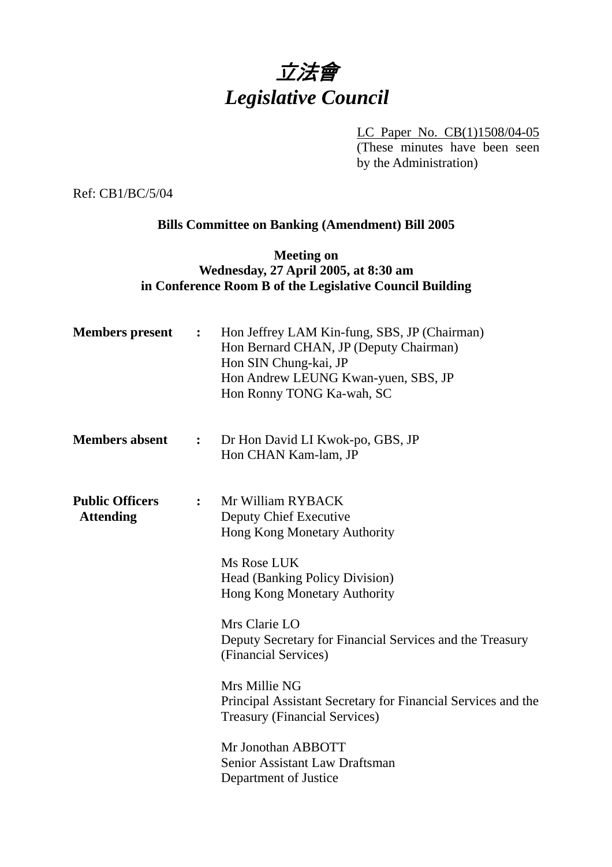# 立法會 *Legislative Council*

LC Paper No. CB(1)1508/04-05 (These minutes have been seen by the Administration)

Ref: CB1/BC/5/04

# **Bills Committee on Banking (Amendment) Bill 2005**

#### **Meeting on Wednesday, 27 April 2005, at 8:30 am in Conference Room B of the Legislative Council Building**

| <b>Members</b> present                     | $\ddot{\bullet}$ | Hon Jeffrey LAM Kin-fung, SBS, JP (Chairman)<br>Hon Bernard CHAN, JP (Deputy Chairman)<br>Hon SIN Chung-kai, JP<br>Hon Andrew LEUNG Kwan-yuen, SBS, JP<br>Hon Ronny TONG Ka-wah, SC                                                                                                                                                                                                                                                                                                |
|--------------------------------------------|------------------|------------------------------------------------------------------------------------------------------------------------------------------------------------------------------------------------------------------------------------------------------------------------------------------------------------------------------------------------------------------------------------------------------------------------------------------------------------------------------------|
| <b>Members absent</b>                      | $\ddot{\bullet}$ | Dr Hon David LI Kwok-po, GBS, JP<br>Hon CHAN Kam-lam, JP                                                                                                                                                                                                                                                                                                                                                                                                                           |
| <b>Public Officers</b><br><b>Attending</b> | $\ddot{\cdot}$   | Mr William RYBACK<br>Deputy Chief Executive<br>Hong Kong Monetary Authority<br>Ms Rose LUK<br><b>Head (Banking Policy Division)</b><br>Hong Kong Monetary Authority<br>Mrs Clarie LO<br>Deputy Secretary for Financial Services and the Treasury<br>(Financial Services)<br>Mrs Millie NG<br>Principal Assistant Secretary for Financial Services and the<br><b>Treasury (Financial Services)</b><br>Mr Jonothan ABBOTT<br>Senior Assistant Law Draftsman<br>Department of Justice |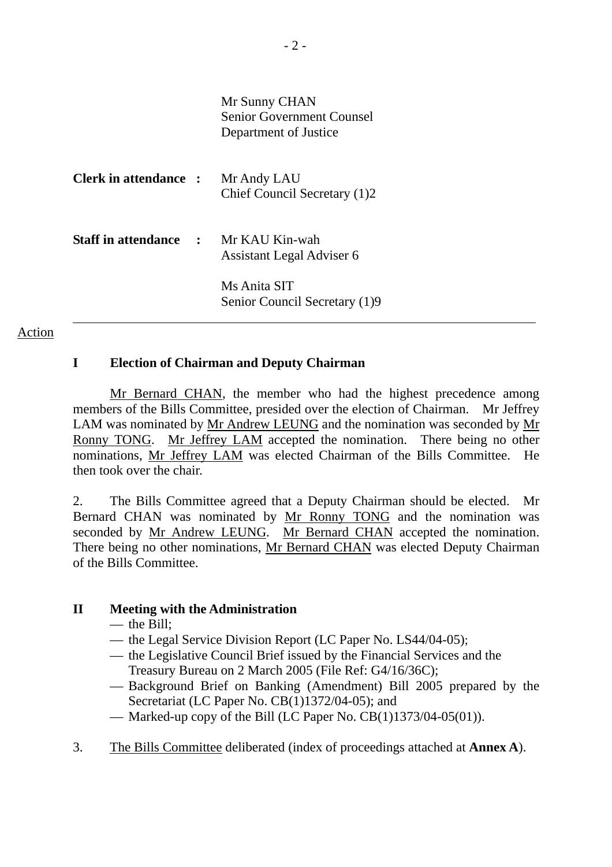|                                  | Mr Sunny CHAN<br><b>Senior Government Counsel</b><br>Department of Justice |
|----------------------------------|----------------------------------------------------------------------------|
| <b>Clerk in attendance :</b>     | Mr Andy LAU<br>Chief Council Secretary (1)2                                |
| <b>Staff in attendance     :</b> | Mr KAU Kin-wah<br>Assistant Legal Adviser 6                                |
|                                  | Ms Anita SIT<br>Senior Council Secretary (1)9                              |

#### Action

#### **I Election of Chairman and Deputy Chairman**

Mr Bernard CHAN, the member who had the highest precedence among members of the Bills Committee, presided over the election of Chairman. Mr Jeffrey LAM was nominated by Mr Andrew LEUNG and the nomination was seconded by Mr Ronny TONG. Mr Jeffrey LAM accepted the nomination. There being no other nominations, Mr Jeffrey LAM was elected Chairman of the Bills Committee. He then took over the chair.

2. The Bills Committee agreed that a Deputy Chairman should be elected. Mr Bernard CHAN was nominated by Mr Ronny TONG and the nomination was seconded by Mr Andrew LEUNG. Mr Bernard CHAN accepted the nomination. There being no other nominations, Mr Bernard CHAN was elected Deputy Chairman of the Bills Committee.

## **II Meeting with the Administration**

- the Bill:
- the Legal Service Division Report (LC Paper No. LS44/04-05);
- the Legislative Council Brief issued by the Financial Services and the Treasury Bureau on 2 March 2005 (File Ref: G4/16/36C);
- Background Brief on Banking (Amendment) Bill 2005 prepared by the Secretariat (LC Paper No. CB(1)1372/04-05); and
- Marked-up copy of the Bill (LC Paper No.  $CB(1)1373/04-05(01)$ ).
- 3. The Bills Committee deliberated (index of proceedings attached at **Annex A**).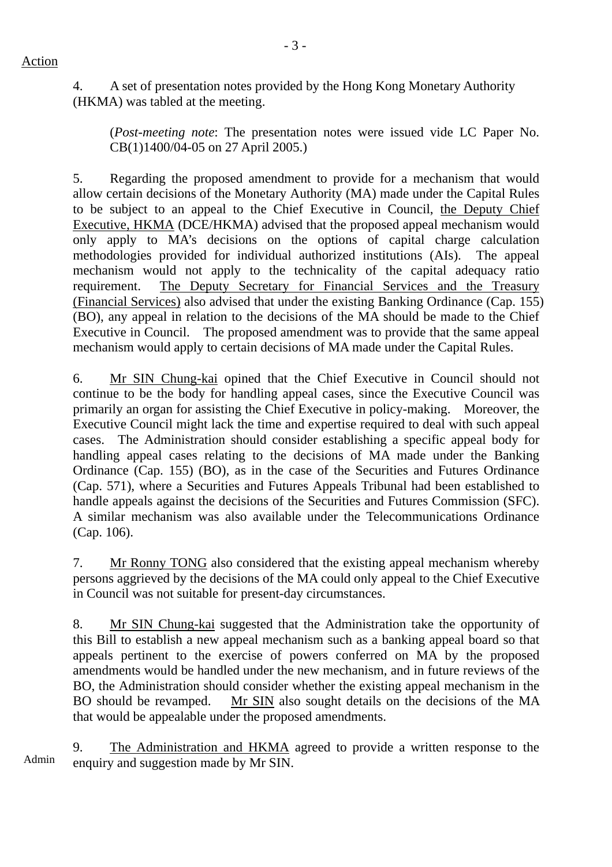4. A set of presentation notes provided by the Hong Kong Monetary Authority (HKMA) was tabled at the meeting.

(*Post-meeting note*: The presentation notes were issued vide LC Paper No. CB(1)1400/04-05 on 27 April 2005.)

5. Regarding the proposed amendment to provide for a mechanism that would allow certain decisions of the Monetary Authority (MA) made under the Capital Rules to be subject to an appeal to the Chief Executive in Council, the Deputy Chief Executive, HKMA (DCE/HKMA) advised that the proposed appeal mechanism would only apply to MA's decisions on the options of capital charge calculation methodologies provided for individual authorized institutions (AIs). The appeal mechanism would not apply to the technicality of the capital adequacy ratio requirement. The Deputy Secretary for Financial Services and the Treasury (Financial Services) also advised that under the existing Banking Ordinance (Cap. 155) (BO), any appeal in relation to the decisions of the MA should be made to the Chief Executive in Council. The proposed amendment was to provide that the same appeal mechanism would apply to certain decisions of MA made under the Capital Rules.

6. Mr SIN Chung-kai opined that the Chief Executive in Council should not continue to be the body for handling appeal cases, since the Executive Council was primarily an organ for assisting the Chief Executive in policy-making. Moreover, the Executive Council might lack the time and expertise required to deal with such appeal cases. The Administration should consider establishing a specific appeal body for handling appeal cases relating to the decisions of MA made under the Banking Ordinance (Cap. 155) (BO), as in the case of the Securities and Futures Ordinance (Cap. 571), where a Securities and Futures Appeals Tribunal had been established to handle appeals against the decisions of the Securities and Futures Commission (SFC). A similar mechanism was also available under the Telecommunications Ordinance (Cap. 106).

7. Mr Ronny TONG also considered that the existing appeal mechanism whereby persons aggrieved by the decisions of the MA could only appeal to the Chief Executive in Council was not suitable for present-day circumstances.

8. Mr SIN Chung-kai suggested that the Administration take the opportunity of this Bill to establish a new appeal mechanism such as a banking appeal board so that appeals pertinent to the exercise of powers conferred on MA by the proposed amendments would be handled under the new mechanism, and in future reviews of the BO, the Administration should consider whether the existing appeal mechanism in the BO should be revamped. Mr SIN also sought details on the decisions of the MA that would be appealable under the proposed amendments.

Admin 9. The Administration and HKMA agreed to provide a written response to the enquiry and suggestion made by Mr SIN.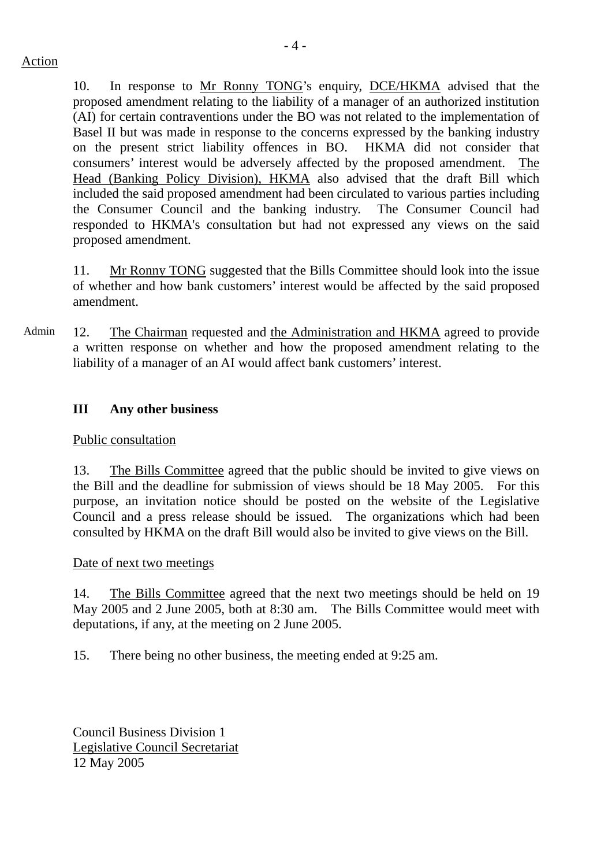10. In response to Mr Ronny TONG's enquiry, DCE/HKMA advised that the proposed amendment relating to the liability of a manager of an authorized institution (AI) for certain contraventions under the BO was not related to the implementation of Basel II but was made in response to the concerns expressed by the banking industry on the present strict liability offences in BO. HKMA did not consider that consumers' interest would be adversely affected by the proposed amendment. The Head (Banking Policy Division), HKMA also advised that the draft Bill which included the said proposed amendment had been circulated to various parties including the Consumer Council and the banking industry. The Consumer Council had responded to HKMA's consultation but had not expressed any views on the said proposed amendment.

11. Mr Ronny TONG suggested that the Bills Committee should look into the issue of whether and how bank customers' interest would be affected by the said proposed amendment.

Admin 12. The Chairman requested and the Administration and HKMA agreed to provide a written response on whether and how the proposed amendment relating to the liability of a manager of an AI would affect bank customers' interest.

# **III Any other business**

## Public consultation

13. The Bills Committee agreed that the public should be invited to give views on the Bill and the deadline for submission of views should be 18 May 2005. For this purpose, an invitation notice should be posted on the website of the Legislative Council and a press release should be issued. The organizations which had been consulted by HKMA on the draft Bill would also be invited to give views on the Bill.

## Date of next two meetings

14. The Bills Committee agreed that the next two meetings should be held on 19 May 2005 and 2 June 2005, both at 8:30 am. The Bills Committee would meet with deputations, if any, at the meeting on 2 June 2005.

15. There being no other business, the meeting ended at 9:25 am.

Council Business Division 1 Legislative Council Secretariat 12 May 2005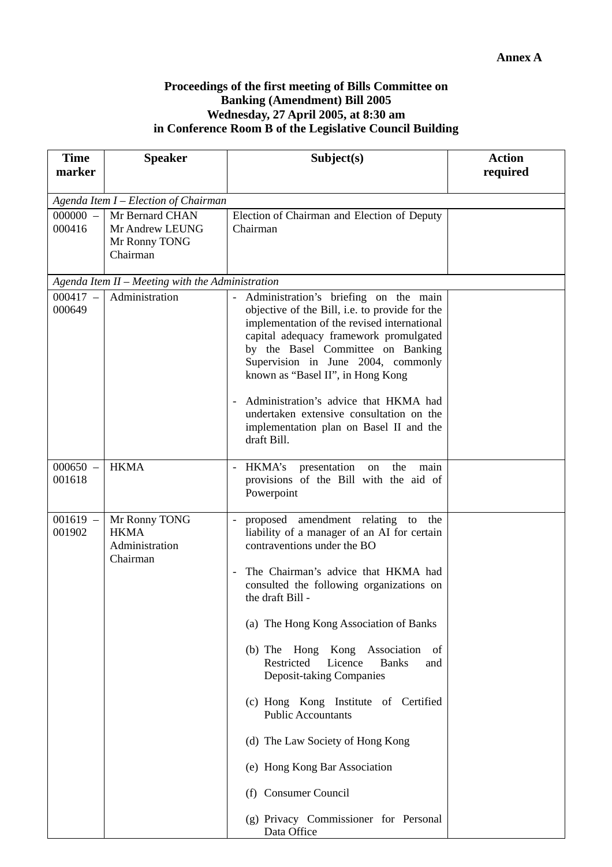#### **Proceedings of the first meeting of Bills Committee on Banking (Amendment) Bill 2005 Wednesday, 27 April 2005, at 8:30 am in Conference Room B of the Legislative Council Building**

| <b>Time</b><br>marker | <b>Speaker</b>                                                  | Subject(s)                                                                                                                                                                                                                                                                                                                                                                                                                                                                                                                                                                                                        | <b>Action</b><br>required |  |  |  |
|-----------------------|-----------------------------------------------------------------|-------------------------------------------------------------------------------------------------------------------------------------------------------------------------------------------------------------------------------------------------------------------------------------------------------------------------------------------------------------------------------------------------------------------------------------------------------------------------------------------------------------------------------------------------------------------------------------------------------------------|---------------------------|--|--|--|
|                       |                                                                 |                                                                                                                                                                                                                                                                                                                                                                                                                                                                                                                                                                                                                   |                           |  |  |  |
|                       | Agenda Item $I$ – Election of Chairman                          |                                                                                                                                                                                                                                                                                                                                                                                                                                                                                                                                                                                                                   |                           |  |  |  |
| $000000 -$<br>000416  | Mr Bernard CHAN<br>Mr Andrew LEUNG<br>Mr Ronny TONG<br>Chairman | Election of Chairman and Election of Deputy<br>Chairman                                                                                                                                                                                                                                                                                                                                                                                                                                                                                                                                                           |                           |  |  |  |
|                       | Agenda Item II - Meeting with the Administration                |                                                                                                                                                                                                                                                                                                                                                                                                                                                                                                                                                                                                                   |                           |  |  |  |
| $000417 -$<br>000649  | Administration                                                  | Administration's briefing on the main<br>objective of the Bill, i.e. to provide for the<br>implementation of the revised international<br>capital adequacy framework promulgated<br>by the Basel Committee on Banking<br>Supervision in June 2004, commonly<br>known as "Basel II", in Hong Kong<br>Administration's advice that HKMA had<br>undertaken extensive consultation on the<br>implementation plan on Basel II and the<br>draft Bill.                                                                                                                                                                   |                           |  |  |  |
| $000650 -$<br>001618  | <b>HKMA</b>                                                     | HKMA's<br>presentation on<br>the<br>main<br>provisions of the Bill with the aid of<br>Powerpoint                                                                                                                                                                                                                                                                                                                                                                                                                                                                                                                  |                           |  |  |  |
| $001619 -$<br>001902  | Mr Ronny TONG<br><b>HKMA</b><br>Administration<br>Chairman      | proposed amendment relating to<br>the<br>liability of a manager of an AI for certain<br>contraventions under the BO<br>The Chairman's advice that HKMA had<br>consulted the following organizations on<br>the draft Bill -<br>(a) The Hong Kong Association of Banks<br>(b) The Hong Kong<br>Association of<br>Restricted<br>Licence<br><b>Banks</b><br>and<br>Deposit-taking Companies<br>(c) Hong Kong Institute of Certified<br><b>Public Accountants</b><br>(d) The Law Society of Hong Kong<br>(e) Hong Kong Bar Association<br>(f) Consumer Council<br>(g) Privacy Commissioner for Personal<br>Data Office |                           |  |  |  |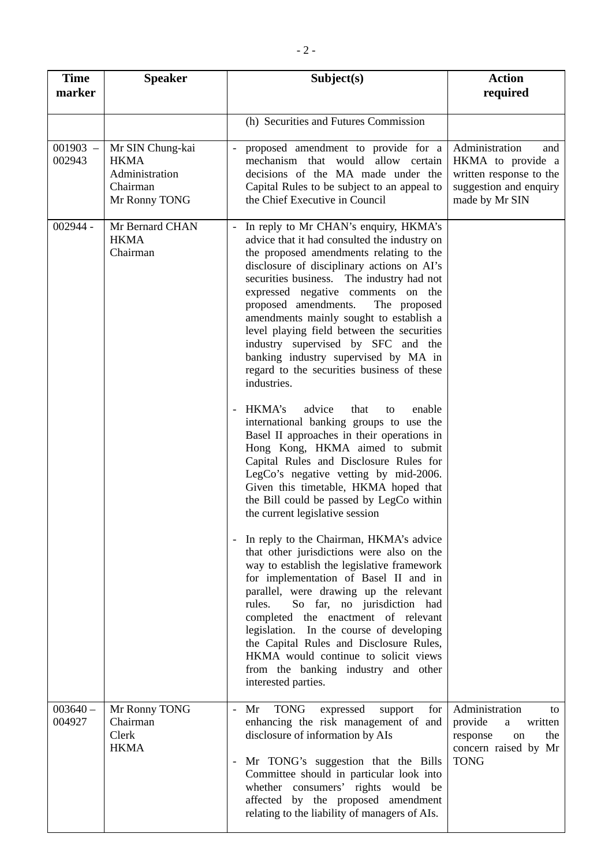| <b>Time</b><br>marker | <b>Speaker</b>                                                                 | Subject(s)                                                                                                                                                                                                                                                                                                                                                                                                                                                                                                                                                                                                                                                                                                                                                                                                                                                                                                                                                                                                                                                                                                                                                                                                                                                                                                                                                                                                                             | <b>Action</b><br>required                                                                                         |
|-----------------------|--------------------------------------------------------------------------------|----------------------------------------------------------------------------------------------------------------------------------------------------------------------------------------------------------------------------------------------------------------------------------------------------------------------------------------------------------------------------------------------------------------------------------------------------------------------------------------------------------------------------------------------------------------------------------------------------------------------------------------------------------------------------------------------------------------------------------------------------------------------------------------------------------------------------------------------------------------------------------------------------------------------------------------------------------------------------------------------------------------------------------------------------------------------------------------------------------------------------------------------------------------------------------------------------------------------------------------------------------------------------------------------------------------------------------------------------------------------------------------------------------------------------------------|-------------------------------------------------------------------------------------------------------------------|
|                       |                                                                                | (h) Securities and Futures Commission                                                                                                                                                                                                                                                                                                                                                                                                                                                                                                                                                                                                                                                                                                                                                                                                                                                                                                                                                                                                                                                                                                                                                                                                                                                                                                                                                                                                  |                                                                                                                   |
| $001903 -$<br>002943  | Mr SIN Chung-kai<br><b>HKMA</b><br>Administration<br>Chairman<br>Mr Ronny TONG | proposed amendment to provide for a<br>mechanism that would allow certain<br>decisions of the MA made under the<br>Capital Rules to be subject to an appeal to<br>the Chief Executive in Council                                                                                                                                                                                                                                                                                                                                                                                                                                                                                                                                                                                                                                                                                                                                                                                                                                                                                                                                                                                                                                                                                                                                                                                                                                       | Administration<br>and<br>HKMA to provide a<br>written response to the<br>suggestion and enquiry<br>made by Mr SIN |
| $002944 -$            | Mr Bernard CHAN<br><b>HKMA</b><br>Chairman                                     | In reply to Mr CHAN's enquiry, HKMA's<br>advice that it had consulted the industry on<br>the proposed amendments relating to the<br>disclosure of disciplinary actions on AI's<br>securities business. The industry had not<br>expressed negative comments on the<br>proposed amendments.<br>The proposed<br>amendments mainly sought to establish a<br>level playing field between the securities<br>industry supervised by SFC and the<br>banking industry supervised by MA in<br>regard to the securities business of these<br>industries.<br>HKMA's<br>advice<br>that<br>enable<br>to<br>international banking groups to use the<br>Basel II approaches in their operations in<br>Hong Kong, HKMA aimed to submit<br>Capital Rules and Disclosure Rules for<br>LegCo's negative vetting by mid-2006.<br>Given this timetable, HKMA hoped that<br>the Bill could be passed by LegCo within<br>the current legislative session<br>In reply to the Chairman, HKMA's advice<br>that other jurisdictions were also on the<br>way to establish the legislative framework<br>for implementation of Basel II and in<br>parallel, were drawing up the relevant<br>So far, no jurisdiction had<br>rules.<br>completed the enactment of relevant<br>legislation. In the course of developing<br>the Capital Rules and Disclosure Rules,<br>HKMA would continue to solicit views<br>from the banking industry and other<br>interested parties. |                                                                                                                   |
| $003640 -$<br>004927  | Mr Ronny TONG<br>Chairman<br>Clerk<br><b>HKMA</b>                              | <b>TONG</b><br>Mr<br>expressed<br>for<br>$\blacksquare$<br>support<br>enhancing the risk management of and<br>disclosure of information by AIs<br>Mr TONG's suggestion that the Bills<br>Committee should in particular look into<br>whether consumers' rights would be<br>affected by the proposed amendment<br>relating to the liability of managers of AIs.                                                                                                                                                                                                                                                                                                                                                                                                                                                                                                                                                                                                                                                                                                                                                                                                                                                                                                                                                                                                                                                                         | Administration<br>to<br>provide<br>written<br>a<br>response<br>the<br>on<br>concern raised by Mr<br><b>TONG</b>   |